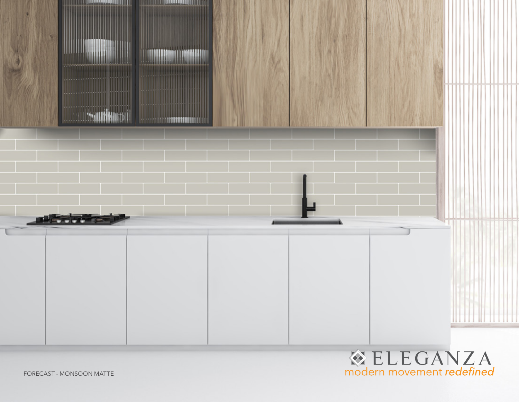

FORECAST - MONSOON MATTE

**ELEGANZA**<br>modern movement redefined